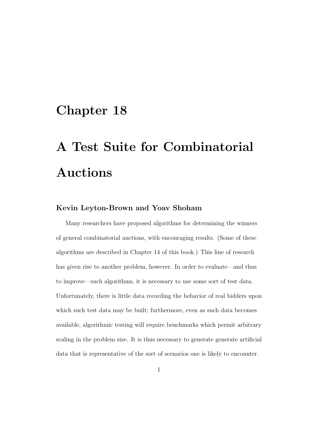# Chapter 18

# A Test Suite for Combinatorial Auctions

# Kevin Leyton-Brown and Yoav Shoham

Many researchers have proposed algorithms for determining the winners of general combinatorial auctions, with encouraging results. (Some of these algorithms are described in Chapter 14 of this book.) This line of research has given rise to another problem, however. In order to evaluate—and thus to improve—such algorithms, it is necessary to use some sort of test data. Unfortunately, there is little data recording the behavior of real bidders upon which such test data may be built; furthermore, even as such data becomes available, algorithmic testing will require benchmarks which permit arbitrary scaling in the problem size. It is thus necessary to generate generate artificial data that is representative of the sort of scenarios one is likely to encounter.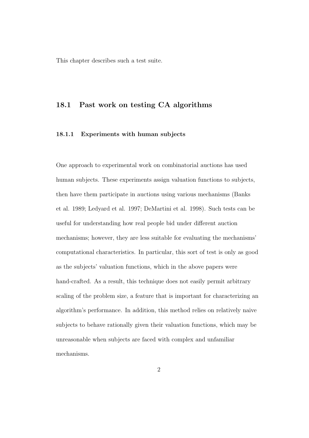This chapter describes such a test suite.

# 18.1 Past work on testing CA algorithms

#### 18.1.1 Experiments with human subjects

One approach to experimental work on combinatorial auctions has used human subjects. These experiments assign valuation functions to subjects, then have them participate in auctions using various mechanisms (Banks et al. 1989; Ledyard et al. 1997; DeMartini et al. 1998). Such tests can be useful for understanding how real people bid under different auction mechanisms; however, they are less suitable for evaluating the mechanisms' computational characteristics. In particular, this sort of test is only as good as the subjects' valuation functions, which in the above papers were hand-crafted. As a result, this technique does not easily permit arbitrary scaling of the problem size, a feature that is important for characterizing an algorithm's performance. In addition, this method relies on relatively naive subjects to behave rationally given their valuation functions, which may be unreasonable when subjects are faced with complex and unfamiliar mechanisms.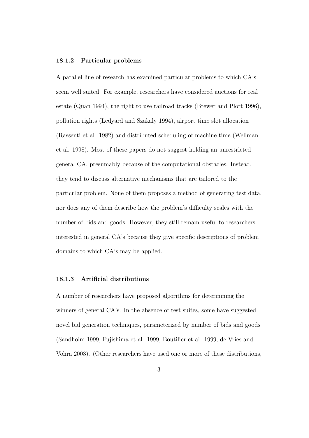#### 18.1.2 Particular problems

A parallel line of research has examined particular problems to which CA's seem well suited. For example, researchers have considered auctions for real estate (Quan 1994), the right to use railroad tracks (Brewer and Plott 1996), pollution rights (Ledyard and Szakaly 1994), airport time slot allocation (Rassenti et al. 1982) and distributed scheduling of machine time (Wellman et al. 1998). Most of these papers do not suggest holding an unrestricted general CA, presumably because of the computational obstacles. Instead, they tend to discuss alternative mechanisms that are tailored to the particular problem. None of them proposes a method of generating test data, nor does any of them describe how the problem's difficulty scales with the number of bids and goods. However, they still remain useful to researchers interested in general CA's because they give specific descriptions of problem domains to which CA's may be applied.

#### 18.1.3 Artificial distributions

A number of researchers have proposed algorithms for determining the winners of general CA's. In the absence of test suites, some have suggested novel bid generation techniques, parameterized by number of bids and goods (Sandholm 1999; Fujishima et al. 1999; Boutilier et al. 1999; de Vries and Vohra 2003). (Other researchers have used one or more of these distributions,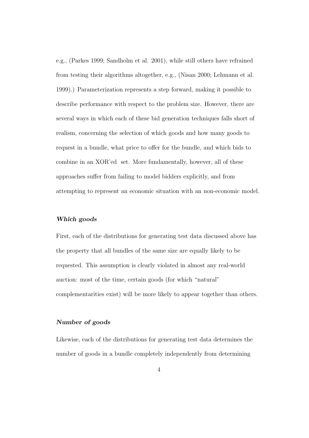e.g., (Parkes 1999; Sandholm et al. 2001), while still others have refrained from testing their algorithms altogether, e.g., (Nisan 2000; Lehmann et al. 1999).) Parameterization represents a step forward, making it possible to describe performance with respect to the problem size. However, there are several ways in which each of these bid generation techniques falls short of realism, concerning the selection of which goods and how many goods to request in a bundle, what price to offer for the bundle, and which bids to combine in an XOR'ed set. More fundamentally, however, all of these approaches suffer from failing to model bidders explicitly, and from attempting to represent an economic situation with an non-economic model.

#### Which goods

First, each of the distributions for generating test data discussed above has the property that all bundles of the same size are equally likely to be requested. This assumption is clearly violated in almost any real-world auction: most of the time, certain goods (for which "natural" complementarities exist) will be more likely to appear together than others.

#### Number of goods

Likewise, each of the distributions for generating test data determines the number of goods in a bundle completely independently from determining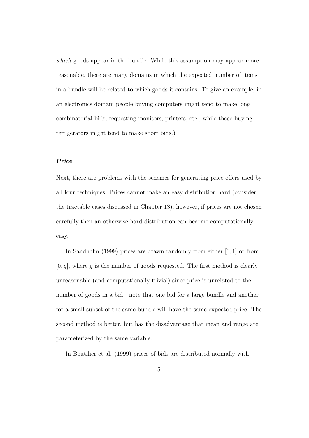which goods appear in the bundle. While this assumption may appear more reasonable, there are many domains in which the expected number of items in a bundle will be related to which goods it contains. To give an example, in an electronics domain people buying computers might tend to make long combinatorial bids, requesting monitors, printers, etc., while those buying refrigerators might tend to make short bids.)

#### Price

Next, there are problems with the schemes for generating price offers used by all four techniques. Prices cannot make an easy distribution hard (consider the tractable cases discussed in Chapter 13); however, if prices are not chosen carefully then an otherwise hard distribution can become computationally easy.

In Sandholm (1999) prices are drawn randomly from either [0, 1] or from  $[0, q]$ , where q is the number of goods requested. The first method is clearly unreasonable (and computationally trivial) since price is unrelated to the number of goods in a bid—note that one bid for a large bundle and another for a small subset of the same bundle will have the same expected price. The second method is better, but has the disadvantage that mean and range are parameterized by the same variable.

In Boutilier et al. (1999) prices of bids are distributed normally with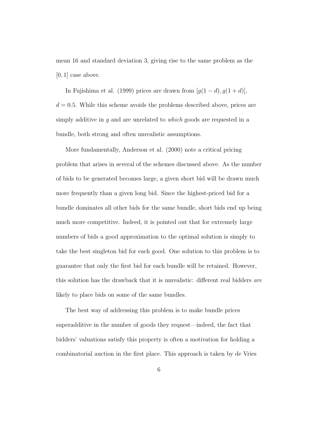mean 16 and standard deviation 3, giving rise to the same problem as the  $[0, 1]$  case above.

In Fujishima et al. (1999) prices are drawn from  $[g(1-d), g(1+d)],$  $d = 0.5$ . While this scheme avoids the problems described above, prices are simply additive in  $g$  and are unrelated to *which* goods are requested in a bundle, both strong and often unrealistic assumptions.

More fundamentally, Anderson et al. (2000) note a critical pricing problem that arises in several of the schemes discussed above. As the number of bids to be generated becomes large, a given short bid will be drawn much more frequently than a given long bid. Since the highest-priced bid for a bundle dominates all other bids for the same bundle, short bids end up being much more competitive. Indeed, it is pointed out that for extremely large numbers of bids a good approximation to the optimal solution is simply to take the best singleton bid for each good. One solution to this problem is to guarantee that only the first bid for each bundle will be retained. However, this solution has the drawback that it is unrealistic: different real bidders are likely to place bids on some of the same bundles.

The best way of addressing this problem is to make bundle prices superadditive in the number of goods they request—indeed, the fact that bidders' valuations satisfy this property is often a motivation for holding a combinatorial auction in the first place. This approach is taken by de Vries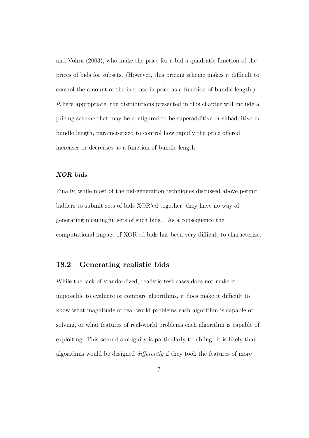and Vohra (2003), who make the price for a bid a quadratic function of the prices of bids for subsets. (However, this pricing scheme makes it difficult to control the amount of the increase in price as a function of bundle length.) Where appropriate, the distributions presented in this chapter will include a pricing scheme that may be configured to be superadditive or subadditive in bundle length, parameterized to control how rapidly the price offered increases or decreases as a function of bundle length.

# XOR bids

Finally, while most of the bid-generation techniques discussed above permit bidders to submit sets of bids XOR'ed together, they have no way of generating meaningful sets of such bids. As a consequence the computational impact of XOR'ed bids has been very difficult to characterize.

# 18.2 Generating realistic bids

While the lack of standardized, realistic test cases does not make it impossible to evaluate or compare algorithms, it does make it difficult to know what magnitude of real-world problems each algorithm is capable of solving, or what features of real-world problems each algorithm is capable of exploiting. This second ambiguity is particularly troubling: it is likely that algorithms would be designed differently if they took the features of more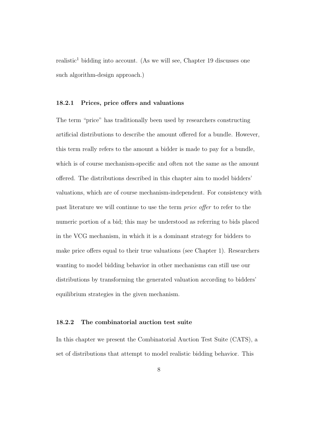$realistic<sup>1</sup>$  bidding into account. (As we will see, Chapter 19 discusses one such algorithm-design approach.)

#### 18.2.1 Prices, price offers and valuations

The term "price" has traditionally been used by researchers constructing artificial distributions to describe the amount offered for a bundle. However, this term really refers to the amount a bidder is made to pay for a bundle, which is of course mechanism-specific and often not the same as the amount offered. The distributions described in this chapter aim to model bidders' valuations, which are of course mechanism-independent. For consistency with past literature we will continue to use the term price offer to refer to the numeric portion of a bid; this may be understood as referring to bids placed in the VCG mechanism, in which it is a dominant strategy for bidders to make price offers equal to their true valuations (see Chapter 1). Researchers wanting to model bidding behavior in other mechanisms can still use our distributions by transforming the generated valuation according to bidders' equilibrium strategies in the given mechanism.

#### 18.2.2 The combinatorial auction test suite

In this chapter we present the Combinatorial Auction Test Suite (CATS), a set of distributions that attempt to model realistic bidding behavior. This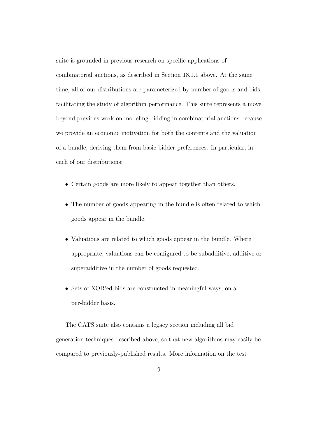suite is grounded in previous research on specific applications of combinatorial auctions, as described in Section 18.1.1 above. At the same time, all of our distributions are parameterized by number of goods and bids, facilitating the study of algorithm performance. This suite represents a move beyond previous work on modeling bidding in combinatorial auctions because we provide an economic motivation for both the contents and the valuation of a bundle, deriving them from basic bidder preferences. In particular, in each of our distributions:

- Certain goods are more likely to appear together than others.
- The number of goods appearing in the bundle is often related to which goods appear in the bundle.
- Valuations are related to which goods appear in the bundle. Where appropriate, valuations can be configured to be subadditive, additive or superadditive in the number of goods requested.
- Sets of XOR'ed bids are constructed in meaningful ways, on a per-bidder basis.

The CATS suite also contains a legacy section including all bid generation techniques described above, so that new algorithms may easily be compared to previously-published results. More information on the test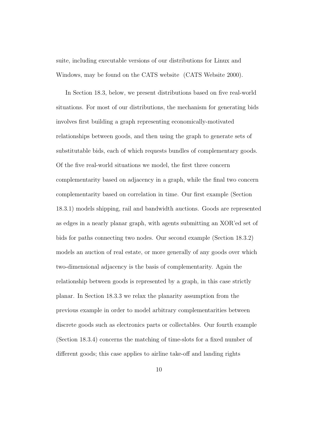suite, including executable versions of our distributions for Linux and Windows, may be found on the CATS website (CATS Website 2000).

In Section 18.3, below, we present distributions based on five real-world situations. For most of our distributions, the mechanism for generating bids involves first building a graph representing economically-motivated relationships between goods, and then using the graph to generate sets of substitutable bids, each of which requests bundles of complementary goods. Of the five real-world situations we model, the first three concern complementarity based on adjacency in a graph, while the final two concern complementarity based on correlation in time. Our first example (Section 18.3.1) models shipping, rail and bandwidth auctions. Goods are represented as edges in a nearly planar graph, with agents submitting an XOR'ed set of bids for paths connecting two nodes. Our second example (Section 18.3.2) models an auction of real estate, or more generally of any goods over which two-dimensional adjacency is the basis of complementarity. Again the relationship between goods is represented by a graph, in this case strictly planar. In Section 18.3.3 we relax the planarity assumption from the previous example in order to model arbitrary complementarities between discrete goods such as electronics parts or collectables. Our fourth example (Section 18.3.4) concerns the matching of time-slots for a fixed number of different goods; this case applies to airline take-off and landing rights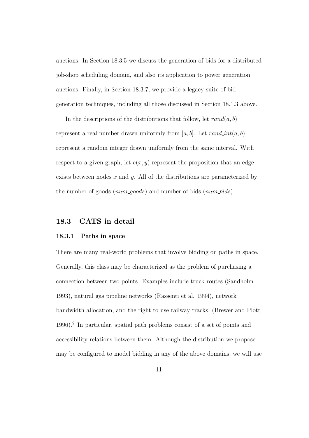auctions. In Section 18.3.5 we discuss the generation of bids for a distributed job-shop scheduling domain, and also its application to power generation auctions. Finally, in Section 18.3.7, we provide a legacy suite of bid generation techniques, including all those discussed in Section 18.1.3 above.

In the descriptions of the distributions that follow, let  $rand(a, b)$ represent a real number drawn uniformly from [a, b]. Let  $rand\_int(a, b)$ represent a random integer drawn uniformly from the same interval. With respect to a given graph, let  $e(x, y)$  represent the proposition that an edge exists between nodes  $x$  and  $y$ . All of the distributions are parameterized by the number of goods  $(num\_qoods)$  and number of bids  $(num\_bids)$ .

# 18.3 CATS in detail

#### 18.3.1 Paths in space

There are many real-world problems that involve bidding on paths in space. Generally, this class may be characterized as the problem of purchasing a connection between two points. Examples include truck routes (Sandholm 1993), natural gas pipeline networks (Rassenti et al. 1994), network bandwidth allocation, and the right to use railway tracks (Brewer and Plott 1996).<sup>2</sup> In particular, spatial path problems consist of a set of points and accessibility relations between them. Although the distribution we propose may be configured to model bidding in any of the above domains, we will use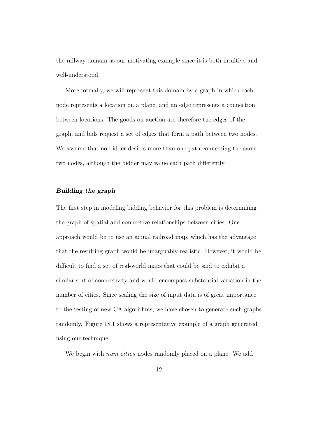the railway domain as our motivating example since it is both intuitive and well-understood.

More formally, we will represent this domain by a graph in which each node represents a location on a plane, and an edge represents a connection between locations. The goods on auction are therefore the edges of the graph, and bids request a set of edges that form a path between two nodes. We assume that no bidder desires more than one path connecting the same two nodes, although the bidder may value each path differently.

#### Building the graph

The first step in modeling bidding behavior for this problem is determining the graph of spatial and connective relationships between cities. One approach would be to use an actual railroad map, which has the advantage that the resulting graph would be unarguably realistic. However, it would be difficult to find a set of real-world maps that could be said to exhibit a similar sort of connectivity and would encompass substantial variation in the number of cities. Since scaling the size of input data is of great importance to the testing of new CA algorithms, we have chosen to generate such graphs randomly. Figure 18.1 shows a representative example of a graph generated using our technique.

We begin with *num\_cities* nodes randomly placed on a plane. We add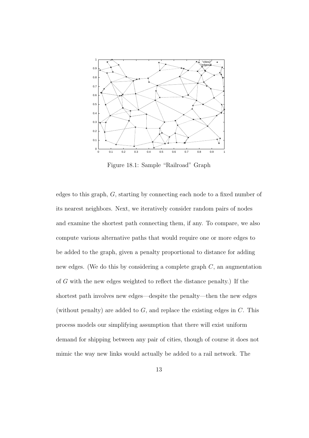

Figure 18.1: Sample "Railroad" Graph

edges to this graph, G, starting by connecting each node to a fixed number of its nearest neighbors. Next, we iteratively consider random pairs of nodes and examine the shortest path connecting them, if any. To compare, we also compute various alternative paths that would require one or more edges to be added to the graph, given a penalty proportional to distance for adding new edges. (We do this by considering a complete graph  $C$ , an augmentation of G with the new edges weighted to reflect the distance penalty.) If the shortest path involves new edges—despite the penalty—then the new edges (without penalty) are added to  $G$ , and replace the existing edges in  $C$ . This process models our simplifying assumption that there will exist uniform demand for shipping between any pair of cities, though of course it does not mimic the way new links would actually be added to a rail network. The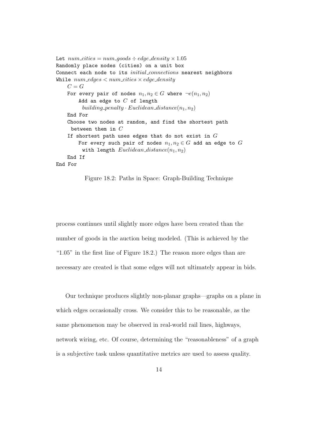```
Let num\_cities = num\_goods \div edge\_density \times 1.05Randomly place nodes (cities) on a unit box
Connect each node to its initial_connections nearest neighbors
While num\_edges < num\_cities \times edge\_densityC = GFor every pair of nodes n_1, n_2 \in G where \neg e(n_1, n_2)Add an edge to C of length
         building penalty \cdot Euclidean distance(n_1, n_2)End For
    Choose two nodes at random, and find the shortest path
     between them in CIf shortest path uses edges that do not exist in GFor every such pair of nodes n_1, n_2 \in G add an edge to G
         with length Euclidean\_distance(n_1, n_2)End If
End For
```
Figure 18.2: Paths in Space: Graph-Building Technique

process continues until slightly more edges have been created than the number of goods in the auction being modeled. (This is achieved by the "1.05" in the first line of Figure 18.2.) The reason more edges than are necessary are created is that some edges will not ultimately appear in bids.

Our technique produces slightly non-planar graphs—graphs on a plane in which edges occasionally cross. We consider this to be reasonable, as the same phenomenon may be observed in real-world rail lines, highways, network wiring, etc. Of course, determining the "reasonableness" of a graph is a subjective task unless quantitative metrics are used to assess quality.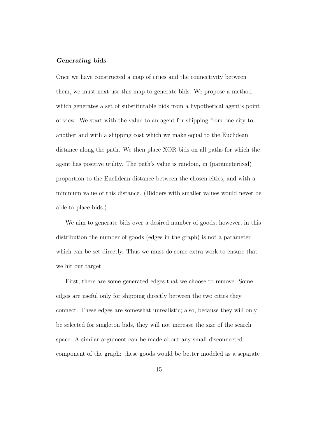#### Generating bids

Once we have constructed a map of cities and the connectivity between them, we must next use this map to generate bids. We propose a method which generates a set of substitutable bids from a hypothetical agent's point of view. We start with the value to an agent for shipping from one city to another and with a shipping cost which we make equal to the Euclidean distance along the path. We then place XOR bids on all paths for which the agent has positive utility. The path's value is random, in (parameterized) proportion to the Euclidean distance between the chosen cities, and with a minimum value of this distance. (Bidders with smaller values would never be able to place bids.)

We aim to generate bids over a desired number of goods; however, in this distribution the number of goods (edges in the graph) is not a parameter which can be set directly. Thus we must do some extra work to ensure that we hit our target.

First, there are some generated edges that we choose to remove. Some edges are useful only for shipping directly between the two cities they connect. These edges are somewhat unrealistic; also, because they will only be selected for singleton bids, they will not increase the size of the search space. A similar argument can be made about any small disconnected component of the graph: these goods would be better modeled as a separate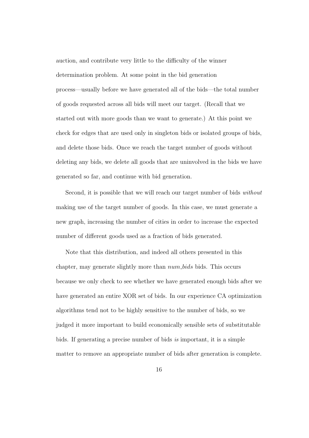auction, and contribute very little to the difficulty of the winner determination problem. At some point in the bid generation process—usually before we have generated all of the bids—the total number of goods requested across all bids will meet our target. (Recall that we started out with more goods than we want to generate.) At this point we check for edges that are used only in singleton bids or isolated groups of bids, and delete those bids. Once we reach the target number of goods without deleting any bids, we delete all goods that are uninvolved in the bids we have generated so far, and continue with bid generation.

Second, it is possible that we will reach our target number of bids without making use of the target number of goods. In this case, we must generate a new graph, increasing the number of cities in order to increase the expected number of different goods used as a fraction of bids generated.

Note that this distribution, and indeed all others presented in this chapter, may generate slightly more than num bids bids. This occurs because we only check to see whether we have generated enough bids after we have generated an entire XOR set of bids. In our experience CA optimization algorithms tend not to be highly sensitive to the number of bids, so we judged it more important to build economically sensible sets of substitutable bids. If generating a precise number of bids is important, it is a simple matter to remove an appropriate number of bids after generation is complete.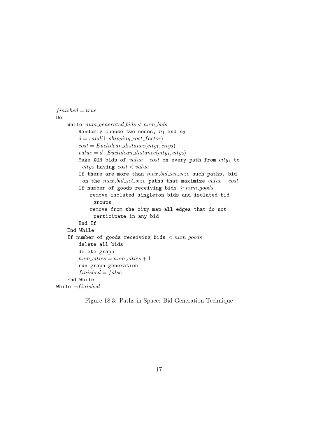```
finished = trueDo
    While num\_generated\_bids < num\_bidsRandomly choose two nodes, n_1 and n_2d = rand(1, shipping\_cost\_factor)cost = Euclidean\_distance(city_1, city_2)value = d \cdot Euclidean\_distance(city_1, city_2)Make XOR bids of value - cost on every path from city_1 to
         city_2 having cost < valueIf there are more than max\_bid\_set\_size such paths, bid
         on the max\_bid\_set\_size paths that maximize value - cost.
        If number of goods receiving bids \geq num\_goodsremove isolated singleton bids and isolated bid
              groups
            remove from the city map all edges that do not
             participate in any bid
        End If
    End While
    If number of goods receiving bids \lt num\text{--goods}delete all bids
        delete graph
        num\_cities = num\_cities + 1run graph generation
        finished = falseEnd While
While \neg finished
```
Figure 18.3: Paths in Space: Bid-Generation Technique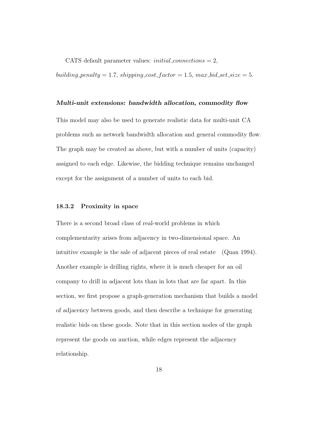CATS default parameter values: *initial\_connections* = 2,

building penalty = 1.7, shipping cost  $factor = 1.5$ , max bid set size = 5.

#### Multi-unit extensions: bandwidth allocation, commodity flow

This model may also be used to generate realistic data for multi-unit CA problems such as network bandwidth allocation and general commodity flow. The graph may be created as above, but with a number of units (capacity) assigned to each edge. Likewise, the bidding technique remains unchanged except for the assignment of a number of units to each bid.

#### 18.3.2 Proximity in space

There is a second broad class of real-world problems in which complementarity arises from adjacency in two-dimensional space. An intuitive example is the sale of adjacent pieces of real estate (Quan 1994). Another example is drilling rights, where it is much cheaper for an oil company to drill in adjacent lots than in lots that are far apart. In this section, we first propose a graph-generation mechanism that builds a model of adjacency between goods, and then describe a technique for generating realistic bids on these goods. Note that in this section nodes of the graph represent the goods on auction, while edges represent the adjacency relationship.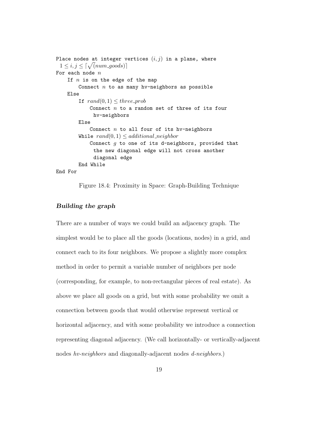```
Place nodes at integer vertices (i, j) in a plane, where
 race nodes at integer v1 \leq i,j \leq \lceil \sqrt{(num\_goods)} \rceilFor each node nIf n is on the edge of the map
        Connect n to as many hv-neighbors as possible
    Else
        If rand(0, 1) \leq three\_probConnect n to a random set of three of its four
              hv-neighbors
        Else
            Connect n to all four of its hv-neighbors
        While rand(0, 1) \leq additional\_neighborConnect g to one of its d-neighbors, provided that
              the new diagonal edge will not cross another
              diagonal edge
        End While
End For
```
Figure 18.4: Proximity in Space: Graph-Building Technique

# Building the graph

There are a number of ways we could build an adjacency graph. The simplest would be to place all the goods (locations, nodes) in a grid, and connect each to its four neighbors. We propose a slightly more complex method in order to permit a variable number of neighbors per node (corresponding, for example, to non-rectangular pieces of real estate). As above we place all goods on a grid, but with some probability we omit a connection between goods that would otherwise represent vertical or horizontal adjacency, and with some probability we introduce a connection representing diagonal adjacency. (We call horizontally- or vertically-adjacent nodes hv-neighbors and diagonally-adjacent nodes d-neighbors.)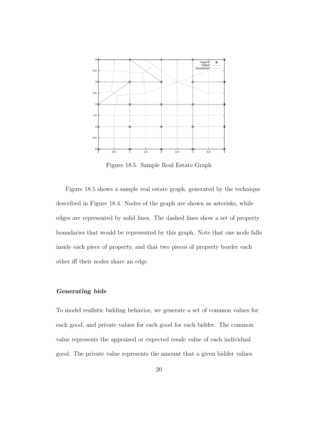

Figure 18.5: Sample Real Estate Graph

Figure 18.5 shows a sample real estate graph, generated by the technique described in Figure 18.4. Nodes of the graph are shown as asterisks, while edges are represented by solid lines. The dashed lines show a set of property boundaries that would be represented by this graph. Note that one node falls inside each piece of property, and that two pieces of property border each other iff their nodes share an edge.

#### Generating bids

To model realistic bidding behavior, we generate a set of common values for each good, and private values for each good for each bidder. The common value represents the appraised or expected resale value of each individual good. The private value represents the amount that a given bidder values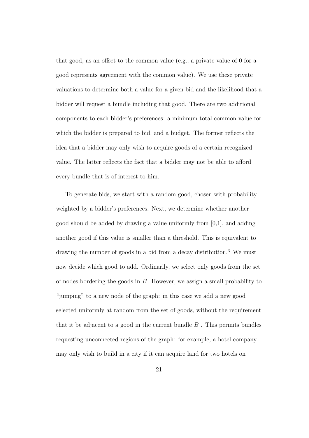that good, as an offset to the common value (e.g., a private value of 0 for a good represents agreement with the common value). We use these private valuations to determine both a value for a given bid and the likelihood that a bidder will request a bundle including that good. There are two additional components to each bidder's preferences: a minimum total common value for which the bidder is prepared to bid, and a budget. The former reflects the idea that a bidder may only wish to acquire goods of a certain recognized value. The latter reflects the fact that a bidder may not be able to afford every bundle that is of interest to him.

To generate bids, we start with a random good, chosen with probability weighted by a bidder's preferences. Next, we determine whether another good should be added by drawing a value uniformly from [0,1], and adding another good if this value is smaller than a threshold. This is equivalent to drawing the number of goods in a bid from a decay distribution.<sup>3</sup> We must now decide which good to add. Ordinarily, we select only goods from the set of nodes bordering the goods in B. However, we assign a small probability to "jumping" to a new node of the graph: in this case we add a new good selected uniformly at random from the set of goods, without the requirement that it be adjacent to a good in the current bundle  $B$ . This permits bundles requesting unconnected regions of the graph: for example, a hotel company may only wish to build in a city if it can acquire land for two hotels on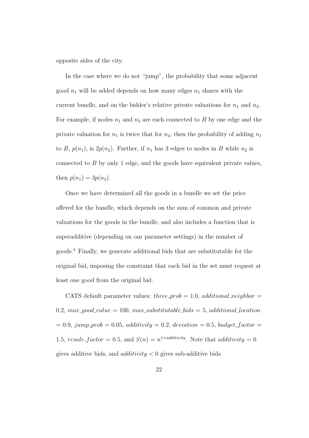opposite sides of the city.

In the case where we do not "jump", the probability that some adjacent good  $n_1$  will be added depends on how many edges  $n_1$  shares with the current bundle, and on the bidder's relative private valuations for  $n_1$  and  $n_2$ . For example, if nodes  $n_1$  and  $n_2$  are each connected to B by one edge and the private valuation for  $n_1$  is twice that for  $n_2$ , then the probability of adding  $n_1$ to B,  $p(n_1)$ , is  $2p(n_2)$ . Further, if  $n_1$  has 3 edges to nodes in B while  $n_2$  is connected to  $B$  by only 1 edge, and the goods have equivalent private values, then  $p(n_1) = 3p(n_2)$ .

Once we have determined all the goods in a bundle we set the price offered for the bundle, which depends on the sum of common and private valuations for the goods in the bundle, and also includes a function that is superadditive (depending on our parameter settings) in the number of goods.<sup>4</sup> Finally, we generate additional bids that are substitutable for the original bid, imposing the constraint that each bid in the set must request at least one good from the original bid.

CATS default parameter values: three prob  $= 1.0$ , additional neighbor  $=$ 0.2,  $max_{q}ood\_value = 100, max_{substitutable\_bids} = 5, additional\_location$  $= 0.9$ , jump prob  $= 0.05$ , additivity  $= 0.2$ , deviation  $= 0.5$ , budget factor  $=$ 1.5, resale\_factor = 0.5, and  $S(n) = n^{1+additivity}$ . Note that additivity = 0 gives additive bids, and  $additivity < 0$  gives sub-additive bids.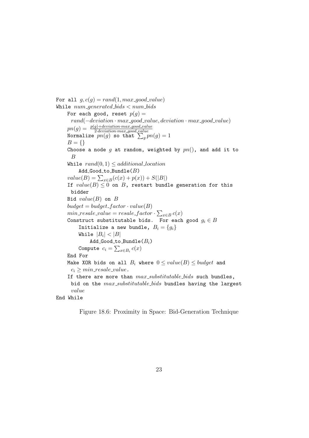For all  $g, c(g) = rand(1, max\_good\_value)$ While  $num\_generated\_bids < num\_bids$ For each good, reset  $p(g) =$  $rand(-deviation \cdot max\_good\_value, deviation \cdot max\_good\_value)$  $p n(g) = \frac{p(g) + deviation \cdot max\_good\_value}{2 \cdot deviation \cdot max\_good\_value}$ <br>Normalize  $p n(g)$  so that  $\sum_g p n(g) = 1$  $B = \{\}$ Choose a node  $g$  at random, weighted by  $pn()$ , and add it to B While  $rand(0, 1) \leq additional\_location$  $Add\_Good\_to\_Bundle(B)$  $value(B) = \sum_{x \in B} (c(x) + p(x)) + S(|B|)$ If  $value(B) \leq 0$  on B, restart bundle generation for this bidder Bid  $value(B)$  on B  $budget = budget\_factor \cdot value(B)$  $min\_resale\_value = resale\_factor \cdot$  $\overline{ }$  $x \in B$   $c(x)$ Construct substitutable bids. For each good  $g_i \in B$ Initialize a new bundle,  $B_i = \{g_i\}$ While  $\left|B_i\right| < \left|B\right|$  $Add\_Good\_to\_Bundle(B_i)$ Compute  $c_i = \sum_{x \in B_i} c(x)$ End For Make XOR bids on all  $B_i$  where  $0 \le value(B) \le budget$  and  $c_i \geq min\_resale\_value.$ If there are more than  $max\_substitutable\_bids$  such bundles, bid on the  $max\_substitutable\_bids$  bundles having the largest value End While

Figure 18.6: Proximity in Space: Bid-Generation Technique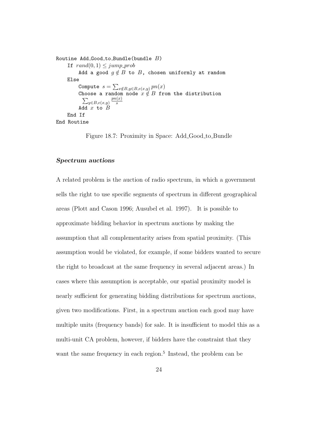```
Routine Add Good to Bundle (bundle B)
     If rand(0, 1) \leq jump\_probAdd a good q \notin B to B, chosen uniformly at random
     Else
          Compute s =\overline{ }x \notin B, y \in B, e(x, y) pn(x)Choose a random node x \notin B from the distribution
            \tilde{P}y \in B, e(x,y)p n(x)\Delta y \in B, e(x,y)<br>Add x to BEnd If
End Routine
```
Figure 18.7: Proximity in Space: Add Good to Bundle

#### Spectrum auctions

A related problem is the auction of radio spectrum, in which a government sells the right to use specific segments of spectrum in different geographical areas (Plott and Cason 1996; Ausubel et al. 1997). It is possible to approximate bidding behavior in spectrum auctions by making the assumption that all complementarity arises from spatial proximity. (This assumption would be violated, for example, if some bidders wanted to secure the right to broadcast at the same frequency in several adjacent areas.) In cases where this assumption is acceptable, our spatial proximity model is nearly sufficient for generating bidding distributions for spectrum auctions, given two modifications. First, in a spectrum auction each good may have multiple units (frequency bands) for sale. It is insufficient to model this as a multi-unit CA problem, however, if bidders have the constraint that they want the same frequency in each region.<sup>5</sup> Instead, the problem can be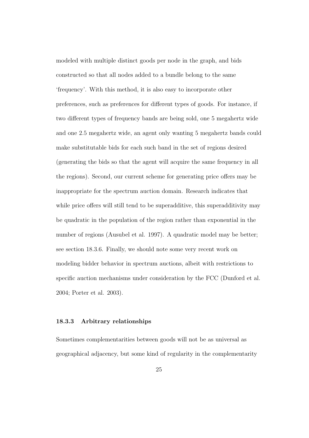modeled with multiple distinct goods per node in the graph, and bids constructed so that all nodes added to a bundle belong to the same 'frequency'. With this method, it is also easy to incorporate other preferences, such as preferences for different types of goods. For instance, if two different types of frequency bands are being sold, one 5 megahertz wide and one 2.5 megahertz wide, an agent only wanting 5 megahertz bands could make substitutable bids for each such band in the set of regions desired (generating the bids so that the agent will acquire the same frequency in all the regions). Second, our current scheme for generating price offers may be inappropriate for the spectrum auction domain. Research indicates that while price offers will still tend to be superadditive, this superadditivity may be quadratic in the population of the region rather than exponential in the number of regions (Ausubel et al. 1997). A quadratic model may be better; see section 18.3.6. Finally, we should note some very recent work on modeling bidder behavior in spectrum auctions, albeit with restrictions to specific auction mechanisms under consideration by the FCC (Dunford et al. 2004; Porter et al. 2003).

#### 18.3.3 Arbitrary relationships

Sometimes complementarities between goods will not be as universal as geographical adjacency, but some kind of regularity in the complementarity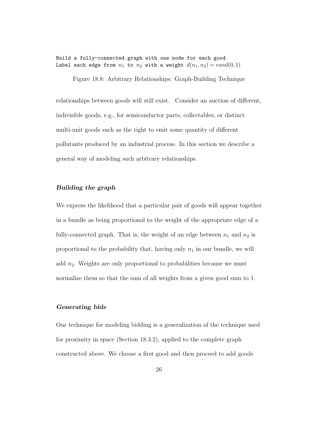Build a fully-connected graph with one node for each good Label each edge from  $n_1$  to  $n_2$  with a weight  $d(n_1, n_2) = rand(0, 1)$ 

Figure 18.8: Arbitrary Relationships: Graph-Building Technique

relationships between goods will still exist. Consider an auction of different, indivisible goods, e.g., for semiconductor parts, collectables, or distinct multi-unit goods such as the right to emit some quantity of different pollutants produced by an industrial process. In this section we describe a general way of modeling such arbitrary relationships.

#### Building the graph

We express the likelihood that a particular pair of goods will appear together in a bundle as being proportional to the weight of the appropriate edge of a fully-connected graph. That is, the weight of an edge between  $n_1$  and  $n_2$  is proportional to the probability that, having only  $n_1$  in our bundle, we will add  $n_2$ . Weights are only proportional to probabilities because we must normalize them so that the sum of all weights from a given good sum to 1.

# Generating bids

Our technique for modeling bidding is a generalization of the technique used for proximity in space (Section 18.3.2), applied to the complete graph constructed above. We choose a first good and then proceed to add goods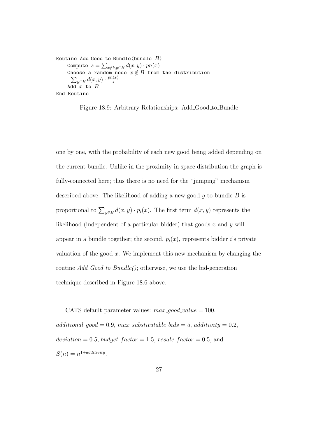```
Routine Add_Good_to_Bundle(bundle B)
     Compute s=\sum_{x\notin b, y\in B}d(x,y)\cdot pn(x)Choose a random node x \notin B from the distribution
         y \in B d(x, y) \cdot \frac{pn(x)}{s}s
     Add x to BEnd Routine
```
Figure 18.9: Arbitrary Relationships: Add Good to Bundle

one by one, with the probability of each new good being added depending on the current bundle. Unlike in the proximity in space distribution the graph is fully-connected here; thus there is no need for the "jumping" mechanism described above. The likelihood of adding a new good  $q$  to bundle  $B$  is proportional to  $\sum_{y\in B} d(x, y) \cdot p_i(x)$ . The first term  $d(x, y)$  represents the likelihood (independent of a particular bidder) that goods  $x$  and  $y$  will appear in a bundle together; the second,  $p_i(x)$ , represents bidder i's private valuation of the good  $x$ . We implement this new mechanism by changing the routine  $Add\_Good\_to\_Bundle($ ; otherwise, we use the bid-generation technique described in Figure 18.6 above.

CATS default parameter values:  $max_{1}good\_value = 100$ ,  $additional\_good = 0.9, max\_substitutable\_bids = 5, additivity = 0.2,$  $deviation = 0.5$ , budget\_factor = 1.5, resale\_factor = 0.5, and  $S(n) = n^{1+additivity}.$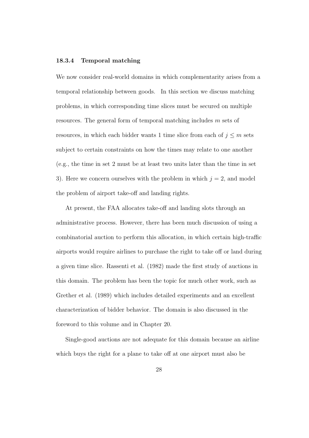#### 18.3.4 Temporal matching

We now consider real-world domains in which complementarity arises from a temporal relationship between goods. In this section we discuss matching problems, in which corresponding time slices must be secured on multiple resources. The general form of temporal matching includes m sets of resources, in which each bidder wants 1 time slice from each of  $j \leq m$  sets subject to certain constraints on how the times may relate to one another (e.g., the time in set 2 must be at least two units later than the time in set 3). Here we concern ourselves with the problem in which  $j = 2$ , and model the problem of airport take-off and landing rights.

At present, the FAA allocates take-off and landing slots through an administrative process. However, there has been much discussion of using a combinatorial auction to perform this allocation, in which certain high-traffic airports would require airlines to purchase the right to take off or land during a given time slice. Rassenti et al. (1982) made the first study of auctions in this domain. The problem has been the topic for much other work, such as Grether et al. (1989) which includes detailed experiments and an excellent characterization of bidder behavior. The domain is also discussed in the foreword to this volume and in Chapter 20.

Single-good auctions are not adequate for this domain because an airline which buys the right for a plane to take off at one airport must also be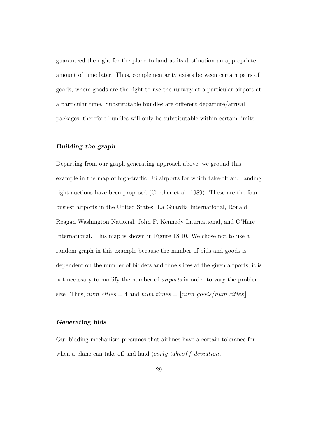guaranteed the right for the plane to land at its destination an appropriate amount of time later. Thus, complementarity exists between certain pairs of goods, where goods are the right to use the runway at a particular airport at a particular time. Substitutable bundles are different departure/arrival packages; therefore bundles will only be substitutable within certain limits.

# Building the graph

Departing from our graph-generating approach above, we ground this example in the map of high-traffic US airports for which take-off and landing right auctions have been proposed (Grether et al. 1989). These are the four busiest airports in the United States: La Guardia International, Ronald Reagan Washington National, John F. Kennedy International, and O'Hare International. This map is shown in Figure 18.10. We chose not to use a random graph in this example because the number of bids and goods is dependent on the number of bidders and time slices at the given airports; it is not necessary to modify the number of *airports* in order to vary the problem size. Thus,  $num\_cities = 4$  and  $num\_times = |num\_goods/num\_cities|$ .

#### Generating bids

Our bidding mechanism presumes that airlines have a certain tolerance for when a plane can take off and land  $\ell$  *early take of f deviation*,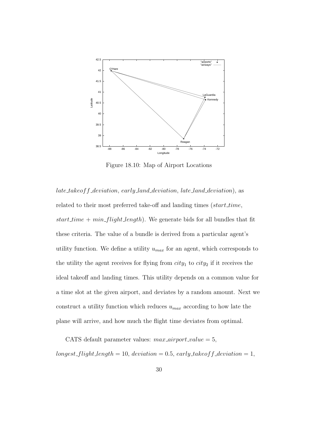

Figure 18.10: Map of Airport Locations

late takeoff deviation, early land deviation, late land deviation), as related to their most preferred take-off and landing times (start\_time, start\_time +  $min\_flight\_length$ ). We generate bids for all bundles that fit these criteria. The value of a bundle is derived from a particular agent's utility function. We define a utility  $u_{max}$  for an agent, which corresponds to the utility the agent receives for flying from  $city_1$  to  $city_2$  if it receives the ideal takeoff and landing times. This utility depends on a common value for a time slot at the given airport, and deviates by a random amount. Next we construct a utility function which reduces  $u_{max}$  according to how late the plane will arrive, and how much the flight time deviates from optimal.

CATS default parameter values:  $max\_airport\_value = 5$ ,  $longest_{\text{right} \perp length = 10, \text{deviation} = 0.5, \text{early}_{\text{0}} \perp height = 1,$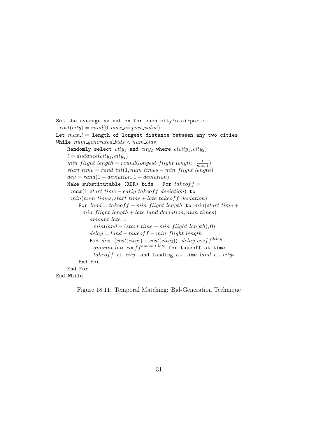```
Set the average valuation for each city's airport:
 cost(city) = rand(0, max\_airport\_value)Let max_l = 1 ength of longest distance between any two cities
While num\_generated\_bids < num\_bidsRandomly select city_1 and city_2 where e(city_1, city_2)l = distance(city_1, city_2)min\_flight\_length = round(longest\_flight\_length \cdot \frac{1}{max}\frac{1}{max l}start_time = rand.int(1, num_time - min_fileight_length)dev = rand(1 - deviation, 1 + deviation)Make substitutable (XOR) bids. For takeoff =max(1, start\_time - early\_takeof f\_deviation) to
      min(num\_times, start\_time + late\_takeoff\_deviation)For land = takeoff + min\_flight\_length to min(start\_time +min\_flight\_length + late\_land\_deviation, num\_times)amount\_late =min(land - (start\_time + min\_flight\_length), 0)delay = land - takeoff - min\_flight\_lengthBid dev \cdot (cost(city_1) + cost(city_2)) \cdot delay\_coeff<sup>delay</sup>.
              amount late coef f^{amount\_late} for takeoff at time
               takeoff at city_1 and landing at time land at city_2End For
    End For
End While
```
Figure 18.11: Temporal Matching: Bid-Generation Technique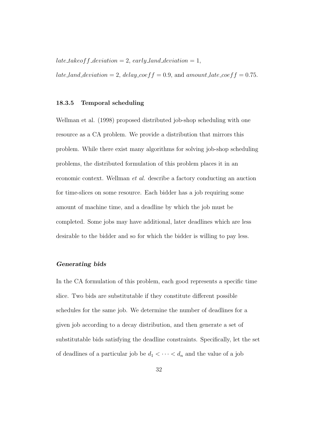$late\_takeoff\_deviation = 2, early\_land\_deviation = 1,$ late\_land\_deviation = 2, delay\_coef  $f = 0.9$ , and amount\_late\_coef  $f = 0.75$ .

#### 18.3.5 Temporal scheduling

Wellman et al. (1998) proposed distributed job-shop scheduling with one resource as a CA problem. We provide a distribution that mirrors this problem. While there exist many algorithms for solving job-shop scheduling problems, the distributed formulation of this problem places it in an economic context. Wellman et al. describe a factory conducting an auction for time-slices on some resource. Each bidder has a job requiring some amount of machine time, and a deadline by which the job must be completed. Some jobs may have additional, later deadlines which are less desirable to the bidder and so for which the bidder is willing to pay less.

#### Generating bids

In the CA formulation of this problem, each good represents a specific time slice. Two bids are substitutable if they constitute different possible schedules for the same job. We determine the number of deadlines for a given job according to a decay distribution, and then generate a set of substitutable bids satisfying the deadline constraints. Specifically, let the set of deadlines of a particular job be  $d_1 < \cdots < d_n$  and the value of a job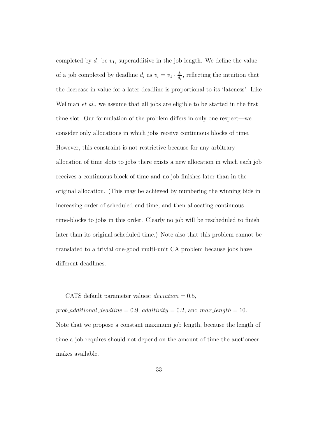completed by  $d_1$  be  $v_1$ , superadditive in the job length. We define the value of a job completed by deadline  $d_i$  as  $v_i = v_1 \cdot \frac{d_1}{d_i}$  $\frac{d_1}{d_i}$ , reflecting the intuition that the decrease in value for a later deadline is proportional to its 'lateness'. Like Wellman *et al.*, we assume that all jobs are eligible to be started in the first time slot. Our formulation of the problem differs in only one respect—we consider only allocations in which jobs receive continuous blocks of time. However, this constraint is not restrictive because for any arbitrary allocation of time slots to jobs there exists a new allocation in which each job receives a continuous block of time and no job finishes later than in the original allocation. (This may be achieved by numbering the winning bids in increasing order of scheduled end time, and then allocating continuous time-blocks to jobs in this order. Clearly no job will be rescheduled to finish later than its original scheduled time.) Note also that this problem cannot be translated to a trivial one-good multi-unit CA problem because jobs have different deadlines.

CATS default parameter values:  $deviation = 0.5$ , prob\_additional\_deadline = 0.9, additivity = 0.2, and max\_length = 10. Note that we propose a constant maximum job length, because the length of time a job requires should not depend on the amount of time the auctioneer makes available.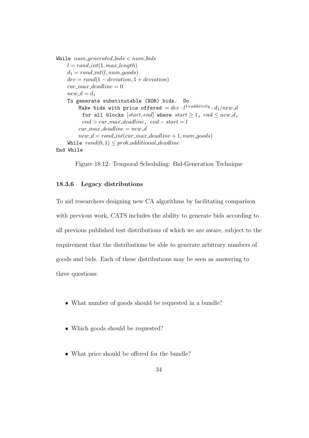```
While num\_generated\_bids < num\_bidsl = rand\_int(1, max\_length)d_1 = rand.int(l, num\_goods)dev = rand(1 - deviation, 1 + deviation)cur\_max\_deadline = 0new_d = d_1To generate substitutable (XOR) bids. Do
         Make bids with price offered = dev \cdot l^{1+additivity} \cdot d_1 / new\_dfor all blocks [start, end] where start \geq 1, end \leq new\_d,
          end > cur_max_deadline, end – start = l
        cur\_max\_deadline = new\_dnew_d = rand\_int(cur\_max_d=deline + 1, num_g=)While rand(0, 1) \le prob\_additional\_deadlineEnd While
```
Figure 18.12: Temporal Scheduling: Bid-Generation Technique

#### 18.3.6 Legacy distributions

To aid researchers designing new CA algorithms by facilitating comparison with previous work, CATS includes the ability to generate bids according to all previous published test distributions of which we are aware, subject to the requirement that the distributions be able to generate arbitrary numbers of goods and bids. Each of these distributions may be seen as answering to three questions:

- What number of goods should be requested in a bundle?
- Which goods should be requested?
- What price should be offered for the bundle?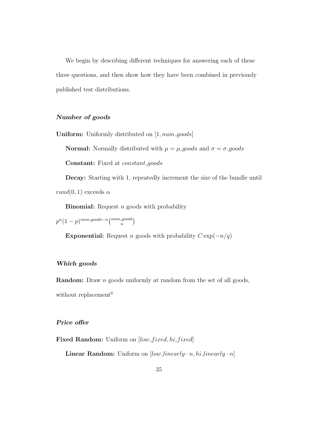We begin by describing different techniques for answering each of these three questions, and then show how they have been combined in previously published test distributions.

#### Number of goods

**Uniform:** Uniformly distributed on  $[1, num\_goods]$ 

**Normal:** Normally distributed with  $\mu = \mu$ -goods and  $\sigma = \sigma$ -goods

Constant: Fixed at *constant\_goods* 

Decay: Starting with 1, repeatedly increment the size of the bundle until rand $(0, 1)$  exceeds  $\alpha$ 

**Binomial:** Request  $n$  goods with probability

 $p^n(1-p)^{num\_goods-n} \binom{num\_goods}{n}$ n ¢

Exponential: Request n goods with probability  $C \exp(-n/q)$ 

#### Which goods

Random: Draw *n* goods uniformly at random from the set of all goods, without replacement<sup>6</sup>

#### Price offer

Fixed Random: Uniform on  $[low\_fixed,hi\_fixed]$ 

**Linear Random:** Uniform on  $[low\_linearly\cdot n, hi\_linearly\cdot n]$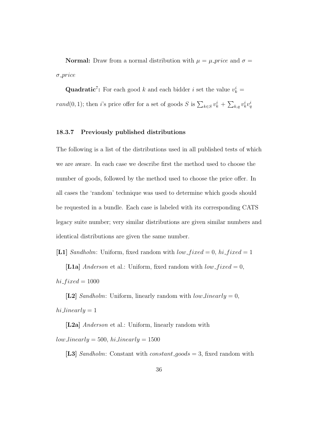**Normal:** Draw from a normal distribution with  $\mu = \mu$ -price and  $\sigma =$  $\sigma$ -price

**Quadratic<sup>7</sup>:** For each good k and each bidder i set the value  $v_k^i =$ rand(0,1); then *i*'s price offer for a set of goods S is  $\sum_{k \in S} v_k^i$  +  $\overline{ }$  $_{k,q}\,v^i_k v^i_q$ 

#### 18.3.7 Previously published distributions

The following is a list of the distributions used in all published tests of which we are aware. In each case we describe first the method used to choose the number of goods, followed by the method used to choose the price offer. In all cases the 'random' technique was used to determine which goods should be requested in a bundle. Each case is labeled with its corresponding CATS legacy suite number; very similar distributions are given similar numbers and identical distributions are given the same number.

[L1] Sandholm: Uniform, fixed random with  $low\_fixed = 0$ ,  $hi\_fixed = 1$ 

[L1a] Anderson et al.: Uniform, fixed random with  $low\_fixed = 0$ ,  $hi\_fixed = 1000$ 

[L2] Sandholm: Uniform, linearly random with  $low\_{linearly} = 0$ ,  $hi\_linearly = 1$ 

[L2a] *Anderson* et al.: Uniform, linearly random with

 $low\_linearly = 500, \, hil\,i$ 

[L3] Sandholm: Constant with  $constant\text{-}goods = 3$ , fixed random with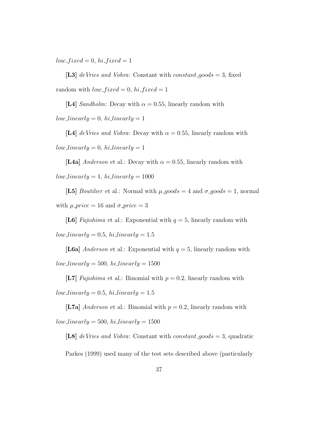$low\_fixed = 0, hi\_fixed = 1$ 

[L3] deVries and Vohra: Constant with constant goods = 3, fixed random with  $low\_fixed = 0$ ,  $hi\_fixed = 1$ 

[L4] Sandholm: Decay with  $\alpha = 0.55$ , linearly random with  $low\_{linearly} = 0, \,hi\_{linearly} = 1$ 

[L4] deVries and Vohra: Decay with  $\alpha = 0.55$ , linearly random with  $low\_linearly = 0, \,hilinearly = 1$ 

[L4a] Anderson et al.: Decay with  $\alpha = 0.55$ , linearly random with  $low\_linearly=1, \,hilinearly=1000$ 

[L5] *Boutilier* et al.: Normal with  $\mu$ -goods = 4 and  $\sigma$ -goods = 1, normal with  $\mu\text{-}price = 16$  and  $\sigma\text{-}price = 3$ 

[L6] Fujishima et al.: Exponential with  $q=5$ , linearly random with  $low\_linearly = 0.5, \, hi\_linearly = 1.5$ 

[L6a] Anderson et al.: Exponential with  $q = 5$ , linearly random with  $low\_{linearly} = 500, \, h\omega\_{linearly} = 1500$ 

[L7] Fujishima et al.: Binomial with  $p = 0.2$ , linearly random with  $low\_{linearly} = 0.5, \,hi\_{linearly} = 1.5$ 

[**L7a**] *Anderson* et al.: Binomial with  $p = 0.2$ , linearly random with  $low\_{linearly} = 500, \, h\bar{\iota}\_{linearly} = 1500$ 

[L8] deVries and Vohra: Constant with constant goods = 3, quadratic

Parkes (1999) used many of the test sets described above (particularly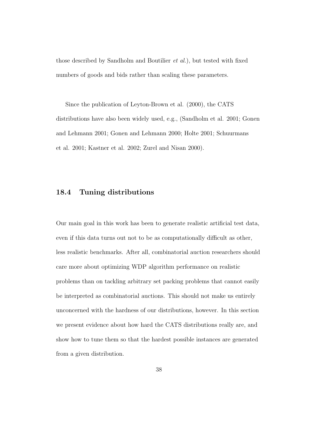those described by Sandholm and Boutilier et al.), but tested with fixed numbers of goods and bids rather than scaling these parameters.

Since the publication of Leyton-Brown et al. (2000), the CATS distributions have also been widely used, e.g., (Sandholm et al. 2001; Gonen and Lehmann 2001; Gonen and Lehmann 2000; Holte 2001; Schuurmans et al. 2001; Kastner et al. 2002; Zurel and Nisan 2000).

# 18.4 Tuning distributions

Our main goal in this work has been to generate realistic artificial test data, even if this data turns out not to be as computationally difficult as other, less realistic benchmarks. After all, combinatorial auction researchers should care more about optimizing WDP algorithm performance on realistic problems than on tackling arbitrary set packing problems that cannot easily be interpreted as combinatorial auctions. This should not make us entirely unconcerned with the hardness of our distributions, however. In this section we present evidence about how hard the CATS distributions really are, and show how to tune them so that the hardest possible instances are generated from a given distribution.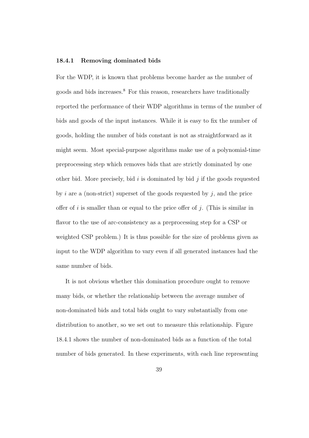#### 18.4.1 Removing dominated bids

For the WDP, it is known that problems become harder as the number of goods and bids increases.<sup>8</sup> For this reason, researchers have traditionally reported the performance of their WDP algorithms in terms of the number of bids and goods of the input instances. While it is easy to fix the number of goods, holding the number of bids constant is not as straightforward as it might seem. Most special-purpose algorithms make use of a polynomial-time preprocessing step which removes bids that are strictly dominated by one other bid. More precisely, bid  $i$  is dominated by bid  $j$  if the goods requested by i are a (non-strict) superset of the goods requested by  $j$ , and the price offer of i is smaller than or equal to the price offer of j. (This is similar in flavor to the use of arc-consistency as a preprocessing step for a CSP or weighted CSP problem.) It is thus possible for the size of problems given as input to the WDP algorithm to vary even if all generated instances had the same number of bids.

It is not obvious whether this domination procedure ought to remove many bids, or whether the relationship between the average number of non-dominated bids and total bids ought to vary substantially from one distribution to another, so we set out to measure this relationship. Figure 18.4.1 shows the number of non-dominated bids as a function of the total number of bids generated. In these experiments, with each line representing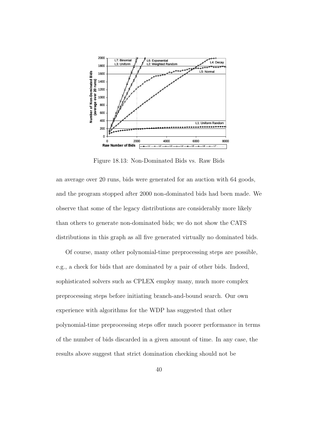

Figure 18.13: Non-Dominated Bids vs. Raw Bids

an average over 20 runs, bids were generated for an auction with 64 goods, and the program stopped after 2000 non-dominated bids had been made. We observe that some of the legacy distributions are considerably more likely than others to generate non-dominated bids; we do not show the CATS distributions in this graph as all five generated virtually no dominated bids.

Of course, many other polynomial-time preprocessing steps are possible, e.g., a check for bids that are dominated by a pair of other bids. Indeed, sophisticated solvers such as CPLEX employ many, much more complex preprocessing steps before initiating branch-and-bound search. Our own experience with algorithms for the WDP has suggested that other polynomial-time preprocessing steps offer much poorer performance in terms of the number of bids discarded in a given amount of time. In any case, the results above suggest that strict domination checking should not be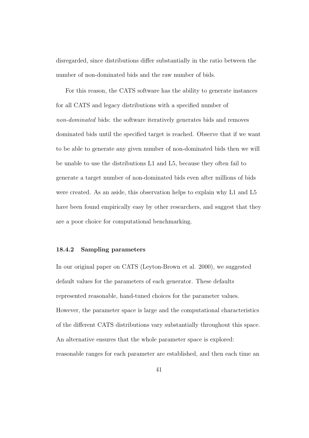disregarded, since distributions differ substantially in the ratio between the number of non-dominated bids and the raw number of bids.

For this reason, the CATS software has the ability to generate instances for all CATS and legacy distributions with a specified number of non-dominated bids: the software iteratively generates bids and removes dominated bids until the specified target is reached. Observe that if we want to be able to generate any given number of non-dominated bids then we will be unable to use the distributions L1 and L5, because they often fail to generate a target number of non-dominated bids even after millions of bids were created. As an aside, this observation helps to explain why L1 and L5 have been found empirically easy by other researchers, and suggest that they are a poor choice for computational benchmarking.

#### 18.4.2 Sampling parameters

In our original paper on CATS (Leyton-Brown et al. 2000), we suggested default values for the parameters of each generator. These defaults represented reasonable, hand-tuned choices for the parameter values. However, the parameter space is large and the computational characteristics of the different CATS distributions vary substantially throughout this space. An alternative ensures that the whole parameter space is explored: reasonable ranges for each parameter are established, and then each time an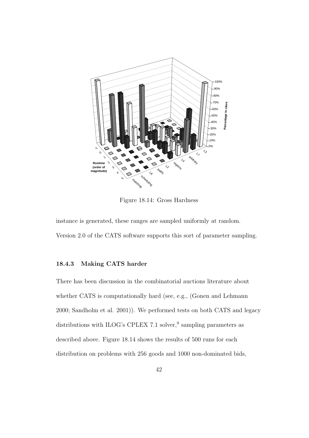

Figure 18.14: Gross Hardness

instance is generated, these ranges are sampled uniformly at random. Version 2.0 of the CATS software supports this sort of parameter sampling.

#### 18.4.3 Making CATS harder

There has been discussion in the combinatorial auctions literature about whether CATS is computationally hard (see, e.g., (Gonen and Lehmann 2000; Sandholm et al. 2001)). We performed tests on both CATS and legacy distributions with ILOG's CPLEX 7.1 solver,<sup>9</sup> sampling parameters as described above. Figure 18.14 shows the results of 500 runs for each distribution on problems with 256 goods and 1000 non-dominated bids,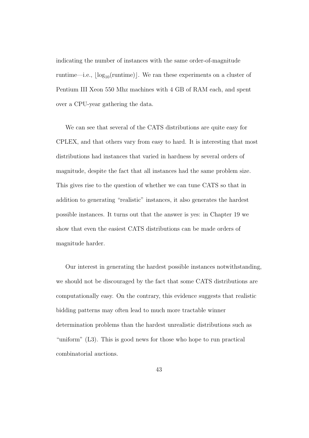indicating the number of instances with the same order-of-magnitude runtime—i.e.,  $\log_{10}(\text{runtime})$ . We ran these experiments on a cluster of Pentium III Xeon 550 Mhz machines with 4 GB of RAM each, and spent over a CPU-year gathering the data.

We can see that several of the CATS distributions are quite easy for CPLEX, and that others vary from easy to hard. It is interesting that most distributions had instances that varied in hardness by several orders of magnitude, despite the fact that all instances had the same problem size. This gives rise to the question of whether we can tune CATS so that in addition to generating "realistic" instances, it also generates the hardest possible instances. It turns out that the answer is yes: in Chapter 19 we show that even the easiest CATS distributions can be made orders of magnitude harder.

Our interest in generating the hardest possible instances notwithstanding, we should not be discouraged by the fact that some CATS distributions are computationally easy. On the contrary, this evidence suggests that realistic bidding patterns may often lead to much more tractable winner determination problems than the hardest unrealistic distributions such as "uniform" (L3). This is good news for those who hope to run practical combinatorial auctions.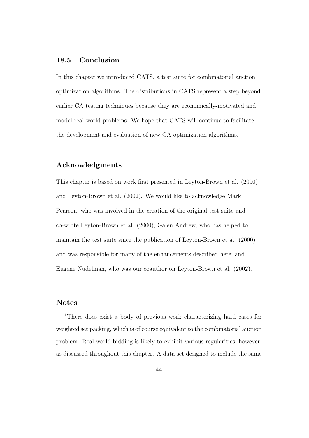# 18.5 Conclusion

In this chapter we introduced CATS, a test suite for combinatorial auction optimization algorithms. The distributions in CATS represent a step beyond earlier CA testing techniques because they are economically-motivated and model real-world problems. We hope that CATS will continue to facilitate the development and evaluation of new CA optimization algorithms.

# Acknowledgments

This chapter is based on work first presented in Leyton-Brown et al. (2000) and Leyton-Brown et al. (2002). We would like to acknowledge Mark Pearson, who was involved in the creation of the original test suite and co-wrote Leyton-Brown et al. (2000); Galen Andrew, who has helped to maintain the test suite since the publication of Leyton-Brown et al. (2000) and was responsible for many of the enhancements described here; and Eugene Nudelman, who was our coauthor on Leyton-Brown et al. (2002).

# Notes

<sup>1</sup>There does exist a body of previous work characterizing hard cases for weighted set packing, which is of course equivalent to the combinatorial auction problem. Real-world bidding is likely to exhibit various regularities, however, as discussed throughout this chapter. A data set designed to include the same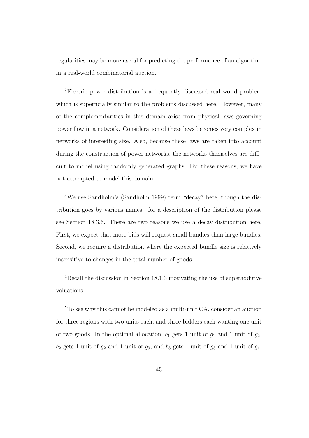regularities may be more useful for predicting the performance of an algorithm in a real-world combinatorial auction.

<sup>2</sup>Electric power distribution is a frequently discussed real world problem which is superficially similar to the problems discussed here. However, many of the complementarities in this domain arise from physical laws governing power flow in a network. Consideration of these laws becomes very complex in networks of interesting size. Also, because these laws are taken into account during the construction of power networks, the networks themselves are difficult to model using randomly generated graphs. For these reasons, we have not attempted to model this domain.

3We use Sandholm's (Sandholm 1999) term "decay" here, though the distribution goes by various names—for a description of the distribution please see Section 18.3.6. There are two reasons we use a decay distribution here. First, we expect that more bids will request small bundles than large bundles. Second, we require a distribution where the expected bundle size is relatively insensitive to changes in the total number of goods.

<sup>4</sup>Recall the discussion in Section 18.1.3 motivating the use of superadditive valuations.

<sup>5</sup>To see why this cannot be modeled as a multi-unit CA, consider an auction for three regions with two units each, and three bidders each wanting one unit of two goods. In the optimal allocation,  $b_1$  gets 1 unit of  $g_1$  and 1 unit of  $g_2$ ,  $b_2$  gets 1 unit of  $g_2$  and 1 unit of  $g_3$ , and  $b_3$  gets 1 unit of  $g_3$  and 1 unit of  $g_1$ .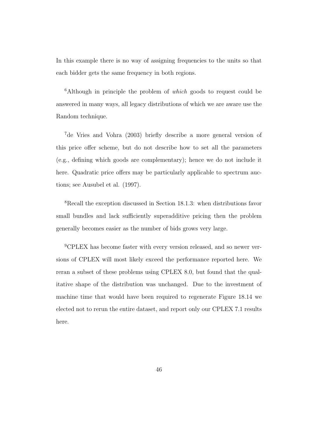In this example there is no way of assigning frequencies to the units so that each bidder gets the same frequency in both regions.

 $6$ Although in principle the problem of *which* goods to request could be answered in many ways, all legacy distributions of which we are aware use the Random technique.

<sup>7</sup>de Vries and Vohra (2003) briefly describe a more general version of this price offer scheme, but do not describe how to set all the parameters (e.g., defining which goods are complementary); hence we do not include it here. Quadratic price offers may be particularly applicable to spectrum auctions; see Ausubel et al. (1997).

<sup>8</sup>Recall the exception discussed in Section 18.1.3: when distributions favor small bundles and lack sufficiently superadditive pricing then the problem generally becomes easier as the number of bids grows very large.

9CPLEX has become faster with every version released, and so newer versions of CPLEX will most likely exceed the performance reported here. We reran a subset of these problems using CPLEX 8.0, but found that the qualitative shape of the distribution was unchanged. Due to the investment of machine time that would have been required to regenerate Figure 18.14 we elected not to rerun the entire dataset, and report only our CPLEX 7.1 results here.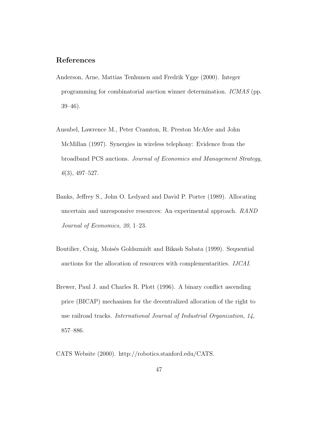# References

- Anderson, Arne, Mattias Tenhunen and Fredrik Ygge (2000). Integer programming for combinatorial auction winner determination. ICMAS (pp. 39–46).
- Ausubel, Lawrence M., Peter Cramton, R. Preston McAfee and John McMillan (1997). Synergies in wireless telephony: Evidence from the broadband PCS auctions. Journal of Economics and Management Strategy,  $6(3)$ , 497–527.
- Banks, Jeffrey S., John O. Ledyard and David P. Porter (1989). Allocating uncertain and unresponsive resources: An experimental approach. RAND Journal of Economics, 20, 1–23.
- Boutilier, Craig, Moisés Goldszmidt and Bikash Sabata (1999). Sequential auctions for the allocation of resources with complementarities. IJCAI.
- Brewer, Paul J. and Charles R. Plott (1996). A binary conflict ascending price (BICAP) mechanism for the decentralized allocation of the right to use railroad tracks. International Journal of Industrial Organization, 14, 857–886.

CATS Website (2000). http://robotics.stanford.edu/CATS.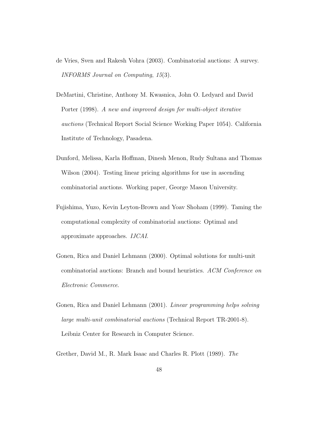- de Vries, Sven and Rakesh Vohra (2003). Combinatorial auctions: A survey. INFORMS Journal on Computing, 15(3).
- DeMartini, Christine, Anthony M. Kwasnica, John O. Ledyard and David Porter (1998). A new and improved design for multi-object iterative auctions (Technical Report Social Science Working Paper 1054). California Institute of Technology, Pasadena.
- Dunford, Melissa, Karla Hoffman, Dinesh Menon, Rudy Sultana and Thomas Wilson (2004). Testing linear pricing algorithms for use in ascending combinatorial auctions. Working paper, George Mason University.
- Fujishima, Yuzo, Kevin Leyton-Brown and Yoav Shoham (1999). Taming the computational complexity of combinatorial auctions: Optimal and approximate approaches. IJCAI.
- Gonen, Rica and Daniel Lehmann (2000). Optimal solutions for multi-unit combinatorial auctions: Branch and bound heuristics. ACM Conference on Electronic Commerce.
- Gonen, Rica and Daniel Lehmann (2001). Linear programming helps solving large multi-unit combinatorial auctions (Technical Report TR-2001-8). Leibniz Center for Research in Computer Science.
- Grether, David M., R. Mark Isaac and Charles R. Plott (1989). The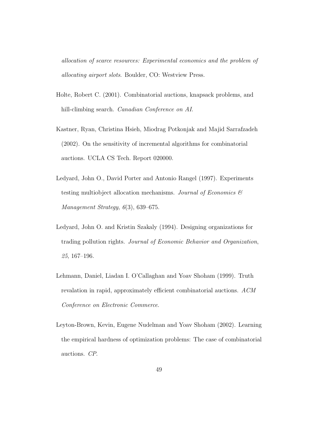allocation of scarce resources: Experimental economics and the problem of allocating airport slots. Boulder, CO: Westview Press.

- Holte, Robert C. (2001). Combinatorial auctions, knapsack problems, and hill-climbing search. *Canadian Conference on AI*.
- Kastner, Ryan, Christina Hsieh, Miodrag Potkonjak and Majid Sarrafzadeh (2002). On the sensitivity of incremental algorithms for combinatorial auctions. UCLA CS Tech. Report 020000.
- Ledyard, John O., David Porter and Antonio Rangel (1997). Experiments testing multiobject allocation mechanisms. Journal of Economics  $\mathcal{C}$ Management Strategy, 6(3), 639–675.
- Ledyard, John O. and Kristin Szakaly (1994). Designing organizations for trading pollution rights. Journal of Economic Behavior and Organization, 25, 167–196.
- Lehmann, Daniel, Liadan I. O'Callaghan and Yoav Shoham (1999). Truth revalation in rapid, approximately efficient combinatorial auctions. ACM Conference on Electronic Commerce.
- Leyton-Brown, Kevin, Eugene Nudelman and Yoav Shoham (2002). Learning the empirical hardness of optimization problems: The case of combinatorial auctions. CP.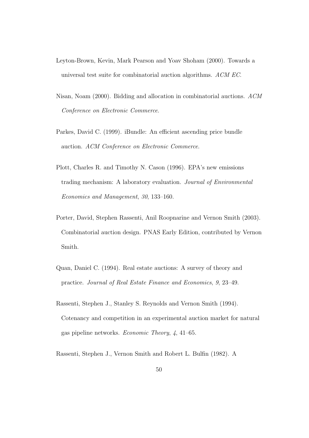- Leyton-Brown, Kevin, Mark Pearson and Yoav Shoham (2000). Towards a universal test suite for combinatorial auction algorithms. ACM EC.
- Nisan, Noam (2000). Bidding and allocation in combinatorial auctions. ACM Conference on Electronic Commerce.
- Parkes, David C. (1999). iBundle: An efficient ascending price bundle auction. ACM Conference on Electronic Commerce.
- Plott, Charles R. and Timothy N. Cason (1996). EPA's new emissions trading mechanism: A laboratory evaluation. Journal of Environmental Economics and Management, 30, 133–160.
- Porter, David, Stephen Rassenti, Anil Roopnarine and Vernon Smith (2003). Combinatorial auction design. PNAS Early Edition, contributed by Vernon Smith.
- Quan, Daniel C. (1994). Real estate auctions: A survey of theory and practice. Journal of Real Estate Finance and Economics, 9, 23–49.
- Rassenti, Stephen J., Stanley S. Reynolds and Vernon Smith (1994). Cotenancy and competition in an experimental auction market for natural gas pipeline networks. Economic Theory, 4, 41–65.
- Rassenti, Stephen J., Vernon Smith and Robert L. Bulfin (1982). A